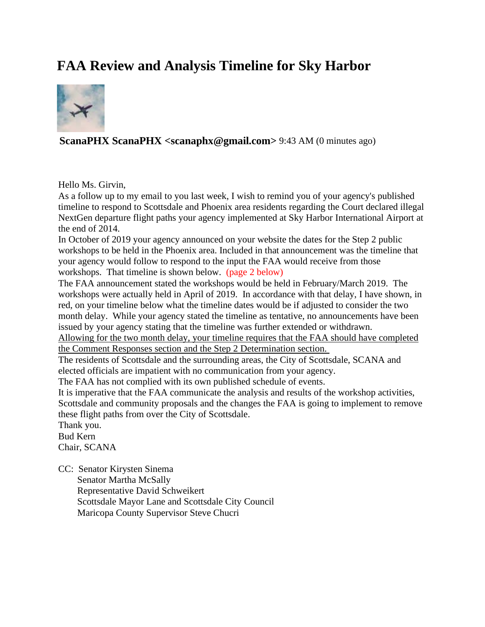## **FAA Review and Analysis Timeline for Sky Harbor**



## **ScanaPHX ScanaPHX <scanaphx@gmail.com>** 9:43 AM (0 minutes ago)

Hello Ms. Girvin,

As a follow up to my email to you last week, I wish to remind you of your agency's published timeline to respond to Scottsdale and Phoenix area residents regarding the Court declared illegal NextGen departure flight paths your agency implemented at Sky Harbor International Airport at the end of 2014.

In October of 2019 your agency announced on your website the dates for the Step 2 public workshops to be held in the Phoenix area. Included in that announcement was the timeline that your agency would follow to respond to the input the FAA would receive from those workshops. That timeline is shown below. (page 2 below)

The FAA announcement stated the workshops would be held in February/March 2019. The workshops were actually held in April of 2019. In accordance with that delay, I have shown, in red, on your timeline below what the timeline dates would be if adjusted to consider the two month delay. While your agency stated the timeline as tentative, no announcements have been issued by your agency stating that the timeline was further extended or withdrawn.

Allowing for the two month delay, your timeline requires that the FAA should have completed the Comment Responses section and the Step 2 Determination section.

The residents of Scottsdale and the surrounding areas, the City of Scottsdale, SCANA and elected officials are impatient with no communication from your agency.

The FAA has not complied with its own published schedule of events.

It is imperative that the FAA communicate the analysis and results of the workshop activities, Scottsdale and community proposals and the changes the FAA is going to implement to remove these flight paths from over the City of Scottsdale.

Thank you. Bud Kern Chair, SCANA

CC: Senator Kirysten Sinema Senator Martha McSally Representative David Schweikert Scottsdale Mayor Lane and Scottsdale City Council Maricopa County Supervisor Steve Chucri